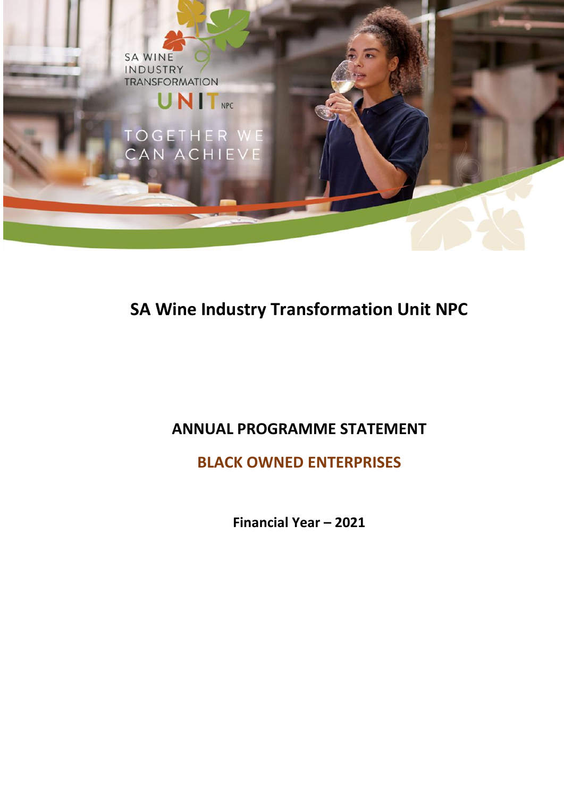

# **SA Wine Industry Transformation Unit NPC**

## **ANNUAL PROGRAMME STATEMENT**

**BLACK OWNED ENTERPRISES** 

**Financial Year – 2021**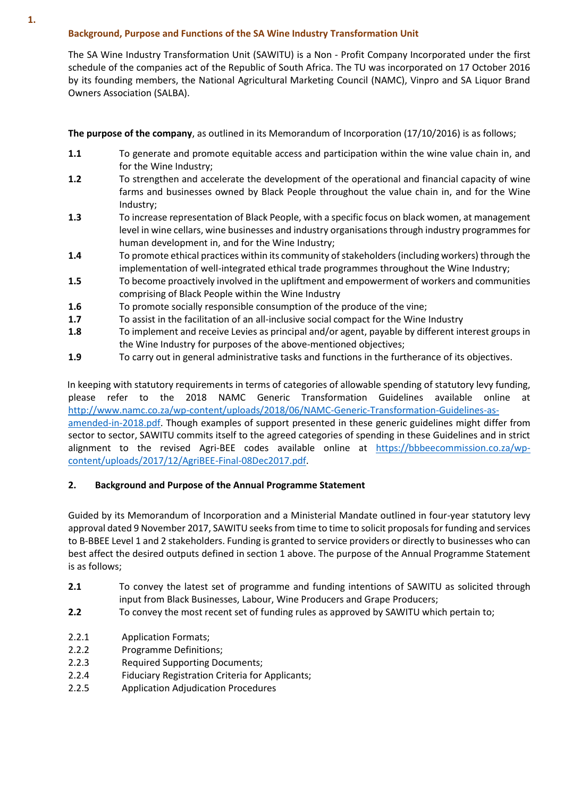### **Background, Purpose and Functions of the SA Wine Industry Transformation Unit**

The SA Wine Industry Transformation Unit (SAWITU) is a Non - Profit Company Incorporated under the first schedule of the companies act of the Republic of South Africa. The TU was incorporated on 17 October 2016 by its founding members, the National Agricultural Marketing Council (NAMC), Vinpro and SA Liquor Brand Owners Association (SALBA).

**The purpose of the company**, as outlined in its Memorandum of Incorporation (17/10/2016) is as follows;

- **1.1** To generate and promote equitable access and participation within the wine value chain in, and for the Wine Industry;
- **1.2** To strengthen and accelerate the development of the operational and financial capacity of wine farms and businesses owned by Black People throughout the value chain in, and for the Wine Industry;
- **1.3** To increase representation of Black People, with a specific focus on black women, at management level in wine cellars, wine businesses and industry organisations through industry programmes for human development in, and for the Wine Industry;
- **1.4** To promote ethical practices within its community of stakeholders (including workers) through the implementation of well-integrated ethical trade programmes throughout the Wine Industry;
- **1.5** To become proactively involved in the upliftment and empowerment of workers and communities comprising of Black People within the Wine Industry
- **1.6** To promote socially responsible consumption of the produce of the vine;
- **1.7** To assist in the facilitation of an all-inclusive social compact for the Wine Industry
- **1.8** To implement and receive Levies as principal and/or agent, payable by different interest groups in the Wine Industry for purposes of the above-mentioned objectives;
- **1.9** To carry out in general administrative tasks and functions in the furtherance of its objectives.

 In keeping with statutory requirements in terms of categories of allowable spending of statutory levy funding, please refer to the 2018 NAMC Generic Transformation Guidelines available online at [http://www.namc.co.za/wp-content/uploads/2018/06/NAMC-Generic-Transformation-Guidelines-as](http://www.namc.co.za/wp-content/uploads/2018/06/NAMC-Generic-Transformation-Guidelines-as-amended-in-2018.pdf)[amended-in-2018.pdf.](http://www.namc.co.za/wp-content/uploads/2018/06/NAMC-Generic-Transformation-Guidelines-as-amended-in-2018.pdf) Though examples of support presented in these generic guidelines might differ from sector to sector, SAWITU commits itself to the agreed categories of spending in these Guidelines and in strict alignment to the revised Agri-BEE codes available online at [https://bbbeecommission.co.za/wp](https://bbbeecommission.co.za/wp-content/uploads/2017/12/AgriBEE-Final-08Dec2017.pdf)[content/uploads/2017/12/AgriBEE-Final-08Dec2017.pdf.](https://bbbeecommission.co.za/wp-content/uploads/2017/12/AgriBEE-Final-08Dec2017.pdf)

#### **2. Background and Purpose of the Annual Programme Statement**

Guided by its Memorandum of Incorporation and a Ministerial Mandate outlined in four-year statutory levy approval dated 9 November 2017, SAWITU seeks from time to time to solicit proposals for funding and services to B-BBEE Level 1 and 2 stakeholders. Funding is granted to service providers or directly to businesses who can best affect the desired outputs defined in section 1 above. The purpose of the Annual Programme Statement is as follows;

- **2.1** To convey the latest set of programme and funding intentions of SAWITU as solicited through input from Black Businesses, Labour, Wine Producers and Grape Producers;
- **2.2** To convey the most recent set of funding rules as approved by SAWITU which pertain to;
- 2.2.1 Application Formats;
- 2.2.2 Programme Definitions;
- 2.2.3 Required Supporting Documents;
- 2.2.4 Fiduciary Registration Criteria for Applicants;
- 2.2.5 Application Adjudication Procedures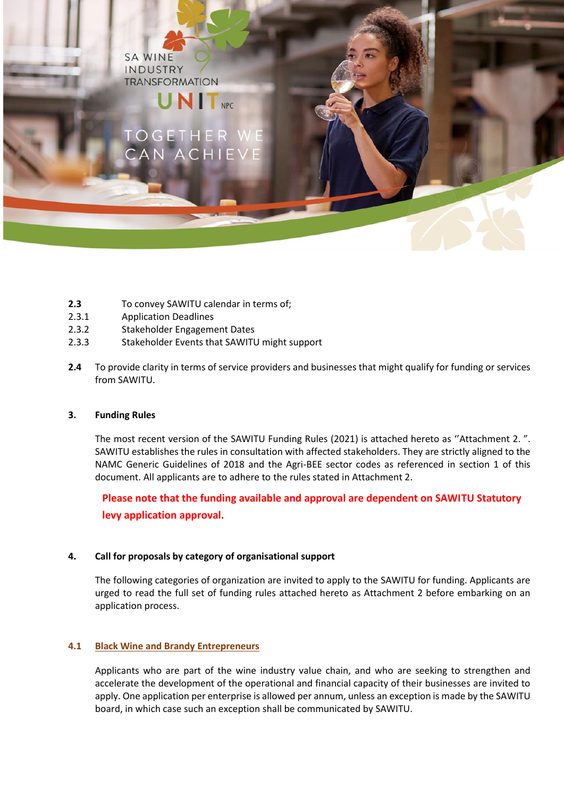**SA WINE** INDUSTRY **TRANSFORMATION** 

# **UNIT**

- **2.3** To convey SAWITU calendar in terms of;
- 2.3.1 Application Deadlines
- 2.3.2 Stakeholder Engagement Dates
- 2.3.3 Stakeholder Events that SAWITU might support
- **2.4** To provide clarity in terms of service providers and businesses that might qualify for funding or services from SAWITU.

#### **3. Funding Rules**

The most recent version of the SAWITU Funding Rules (2021) is attached hereto as ''Attachment 2. ". SAWITU establishes the rules in consultation with affected stakeholders. They are strictly aligned to the NAMC Generic Guidelines of 2018 and the Agri-BEE sector codes as referenced in section 1 of this document. All applicants are to adhere to the rules stated in Attachment 2.

**Please note that the funding available and approval are dependent on SAWITU Statutory levy application approval.**

#### **4. Call for proposals by category of organisational support**

The following categories of organization are invited to apply to the SAWITU for funding. Applicants are urged to read the full set of funding rules attached hereto as Attachment 2 before embarking on an application process.

#### **4.1 Black Wine and Brandy Entrepreneurs**

Applicants who are part of the wine industry value chain, and who are seeking to strengthen and accelerate the development of the operational and financial capacity of their businesses are invited to apply. One application per enterprise is allowed per annum, unless an exception is made by the SAWITU board, in which case such an exception shall be communicated by SAWITU.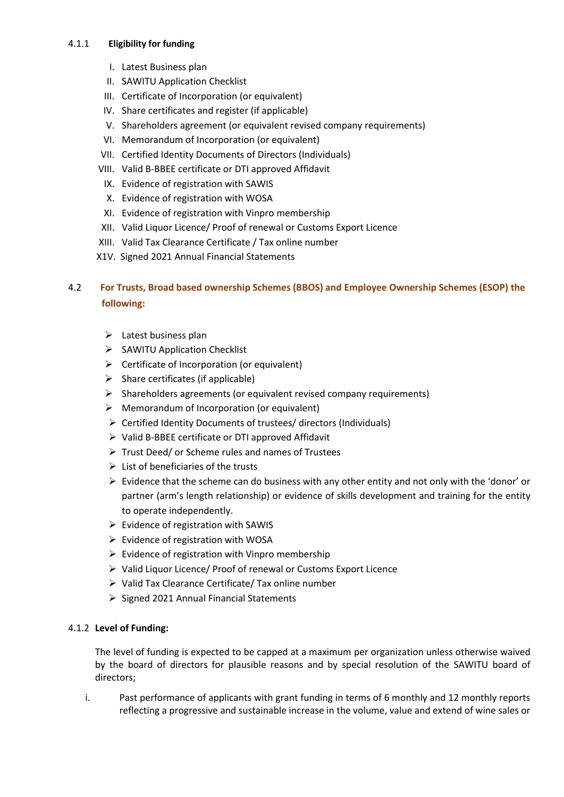#### 4.1.1 **Eligibility for funding**

- I. Latest Business plan
- II. SAWITU Application Checklist
- III. Certificate of Incorporation (or equivalent)
- IV. Share certificates and register (if applicable)
- V. Shareholders agreement (or equivalent revised company requirements)
- VI. Memorandum of Incorporation (or equivalent)
- VII. Certified Identity Documents of Directors (Individuals)
- VIII. Valid B-BBEE certificate or DTI approved Affidavit
- IX. Evidence of registration with SAWIS
- X. Evidence of registration with WOSA
- XI. Evidence of registration with Vinpro membership
- XII. Valid Liquor Licence/ Proof of renewal or Customs Export Licence
- XIII. Valid Tax Clearance Certificate / Tax online number
- X1V. Signed 2021 Annual Financial Statements

## 4.2 **For Trusts, Broad based ownership Schemes (BBOS) and Employee Ownership Schemes (ESOP) the following:**

- $\triangleright$  Latest business plan
- $\triangleright$  SAWITU Application Checklist
- $\triangleright$  Certificate of Incorporation (or equivalent)
- $\triangleright$  Share certificates (if applicable)
- $\triangleright$  Shareholders agreements (or equivalent revised company requirements)
- $\triangleright$  Memorandum of Incorporation (or equivalent)
- $\triangleright$  Certified Identity Documents of trustees/ directors (Individuals)
- $\triangleright$  Valid B-BBEE certificate or DTI approved Affidavit
- $\triangleright$  Trust Deed/ or Scheme rules and names of Trustees
- $\triangleright$  List of beneficiaries of the trusts
- $\triangleright$  Evidence that the scheme can do business with any other entity and not only with the 'donor' or partner (arm's length relationship) or evidence of skills development and training for the entity to operate independently.
- $\triangleright$  Evidence of registration with SAWIS
- $\triangleright$  Evidence of registration with WOSA
- $\triangleright$  Evidence of registration with Vinpro membership
- $\triangleright$  Valid Liquor Licence/ Proof of renewal or Customs Export Licence
- Valid Tax Clearance Certificate/ Tax online number
- $\triangleright$  Signed 2021 Annual Financial Statements

#### 4.1.2 **Level of Funding:**

The level of funding is expected to be capped at a maximum per organization unless otherwise waived by the board of directors for plausible reasons and by special resolution of the SAWITU board of directors;

i. Past performance of applicants with grant funding in terms of 6 monthly and 12 monthly reports reflecting a progressive and sustainable increase in the volume, value and extend of wine sales or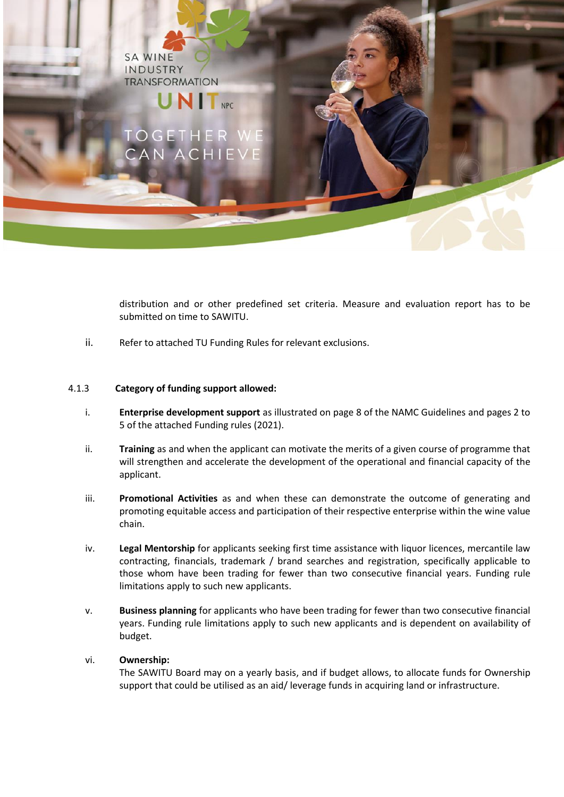**SA WINE** INDUSTRY **TRANSFORMATION** 

# **UNIT**<sub>NPC</sub>

distribution and or other predefined set criteria. Measure and evaluation report has to be submitted on time to SAWITU.

ii. Refer to attached TU Funding Rules for relevant exclusions.

#### 4.1.3 **Category of funding support allowed:**

- i. **Enterprise development support** as illustrated on page 8 of the NAMC Guidelines and pages 2 to 5 of the attached Funding rules (2021).
- ii. **Training** as and when the applicant can motivate the merits of a given course of programme that will strengthen and accelerate the development of the operational and financial capacity of the applicant.
- iii. **Promotional Activities** as and when these can demonstrate the outcome of generating and promoting equitable access and participation of their respective enterprise within the wine value chain.
- iv. **Legal Mentorship** for applicants seeking first time assistance with liquor licences, mercantile law contracting, financials, trademark / brand searches and registration, specifically applicable to those whom have been trading for fewer than two consecutive financial years. Funding rule limitations apply to such new applicants.
- v. **Business planning** for applicants who have been trading for fewer than two consecutive financial years. Funding rule limitations apply to such new applicants and is dependent on availability of budget.

#### vi. **Ownership:**

The SAWITU Board may on a yearly basis, and if budget allows, to allocate funds for Ownership support that could be utilised as an aid/ leverage funds in acquiring land or infrastructure.